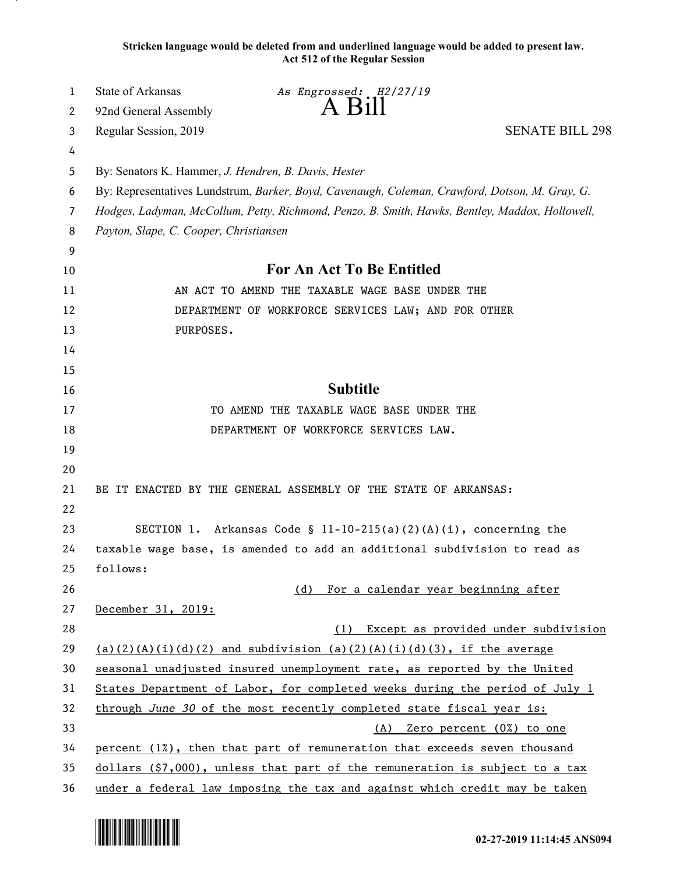**Stricken language would be deleted from and underlined language would be added to present law. Act 512 of the Regular Session**

| 1       | <b>State of Arkansas</b>                                                                       | As Engrossed: H2/27/19<br>$A$ B <sub>1</sub> $\parallel$                                        |                                      |
|---------|------------------------------------------------------------------------------------------------|-------------------------------------------------------------------------------------------------|--------------------------------------|
| 2       | 92nd General Assembly                                                                          |                                                                                                 |                                      |
| 3       | Regular Session, 2019                                                                          |                                                                                                 | <b>SENATE BILL 298</b>               |
| 4       |                                                                                                |                                                                                                 |                                      |
| 5       | By: Senators K. Hammer, J. Hendren, B. Davis, Hester                                           |                                                                                                 |                                      |
| 6       | By: Representatives Lundstrum, Barker, Boyd, Cavenaugh, Coleman, Crawford, Dotson, M. Gray, G. |                                                                                                 |                                      |
| 7       |                                                                                                | Hodges, Ladyman, McCollum, Petty, Richmond, Penzo, B. Smith, Hawks, Bentley, Maddox, Hollowell, |                                      |
| 8       | Payton, Slape, C. Cooper, Christiansen                                                         |                                                                                                 |                                      |
| 9<br>10 |                                                                                                | <b>For An Act To Be Entitled</b>                                                                |                                      |
| 11      |                                                                                                | AN ACT TO AMEND THE TAXABLE WAGE BASE UNDER THE                                                 |                                      |
| 12      |                                                                                                | DEPARTMENT OF WORKFORCE SERVICES LAW; AND FOR OTHER                                             |                                      |
| 13      | PURPOSES.                                                                                      |                                                                                                 |                                      |
| 14      |                                                                                                |                                                                                                 |                                      |
| 15      |                                                                                                |                                                                                                 |                                      |
| 16      |                                                                                                | <b>Subtitle</b>                                                                                 |                                      |
| 17      |                                                                                                | TO AMEND THE TAXABLE WAGE BASE UNDER THE                                                        |                                      |
| 18      |                                                                                                | DEPARTMENT OF WORKFORCE SERVICES LAW.                                                           |                                      |
| 19      |                                                                                                |                                                                                                 |                                      |
| 20      |                                                                                                |                                                                                                 |                                      |
| 21      |                                                                                                | BE IT ENACTED BY THE GENERAL ASSEMBLY OF THE STATE OF ARKANSAS:                                 |                                      |
| 22      |                                                                                                |                                                                                                 |                                      |
| 23      |                                                                                                | SECTION 1. Arkansas Code § 11-10-215(a)(2)(A)(i), concerning the                                |                                      |
| 24      |                                                                                                | taxable wage base, is amended to add an additional subdivision to read as                       |                                      |
| 25      | follows:                                                                                       |                                                                                                 |                                      |
| 26      |                                                                                                | For a calendar year beginning after<br>(d)                                                      |                                      |
| 27      | December 31, 2019:                                                                             |                                                                                                 |                                      |
| 28      |                                                                                                | (1)                                                                                             | Except as provided under subdivision |
| 29      |                                                                                                | (a)(2)(A)(i)(d)(2) and subdivision (a)(2)(A)(i)(d)(3), if the average                           |                                      |
| 30      |                                                                                                | seasonal unadjusted insured unemployment rate, as reported by the United                        |                                      |
| 31      |                                                                                                | States Department of Labor, for completed weeks during the period of July 1                     |                                      |
| 32      | through June 30 of the most recently completed state fiscal year is:                           |                                                                                                 |                                      |
| 33      |                                                                                                | (A) Zero percent (0%) to one                                                                    |                                      |
| 34      |                                                                                                | percent (1%), then that part of remuneration that exceeds seven thousand                        |                                      |
| 35      | $dollars$ (\$7,000), unless that part of the remuneration is subject to a tax                  |                                                                                                 |                                      |
| 36      |                                                                                                | under a federal law imposing the tax and against which credit may be taken                      |                                      |

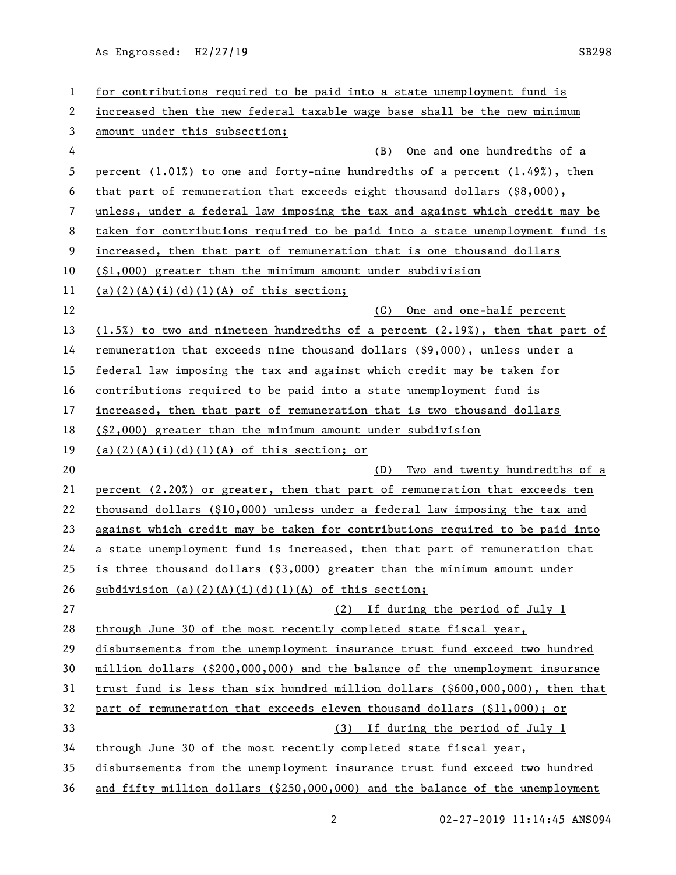As Engrossed: H2/27/19 SB298

| 1  | for contributions required to be paid into a state unemployment fund is            |  |  |
|----|------------------------------------------------------------------------------------|--|--|
| 2  | increased then the new federal taxable wage base shall be the new minimum          |  |  |
| 3  | amount under this subsection;                                                      |  |  |
| 4  | (B)<br>One and one hundredths of a                                                 |  |  |
| 5  | percent $(1.01%)$ to one and forty-nine hundredths of a percent $(1.49%)$ , then   |  |  |
| 6  | that part of remuneration that exceeds eight thousand dollars $(88,000)$ ,         |  |  |
| 7  | unless, under a federal law imposing the tax and against which credit may be       |  |  |
| 8  | taken for contributions required to be paid into a state unemployment fund is      |  |  |
| 9  | increased, then that part of remuneration that is one thousand dollars             |  |  |
| 10 | $(1,000)$ greater than the minimum amount under subdivision                        |  |  |
| 11 | $(a)(2)(A)(i)(d)(1)(A)$ of this section;                                           |  |  |
| 12 | One and one-half percent<br>(C)                                                    |  |  |
| 13 | $(1.5%)$ to two and nineteen hundredths of a percent $(2.19%)$ , then that part of |  |  |
| 14 | remuneration that exceeds nine thousand dollars (\$9,000), unless under a          |  |  |
| 15 | federal law imposing the tax and against which credit may be taken for             |  |  |
| 16 | contributions required to be paid into a state unemployment fund is                |  |  |
| 17 | increased, then that part of remuneration that is two thousand dollars             |  |  |
| 18 | $(§2,000)$ greater than the minimum amount under subdivision                       |  |  |
| 19 | $(a)(2)(A)(i)(d)(1)(A)$ of this section; or                                        |  |  |
| 20 | Two and twenty hundredths of a<br>(D)                                              |  |  |
| 21 | percent (2.20%) or greater, then that part of remuneration that exceeds ten        |  |  |
| 22 | thousand dollars $(\$10,000)$ unless under a federal law imposing the tax and      |  |  |
| 23 | against which credit may be taken for contributions required to be paid into       |  |  |
| 24 | a state unemployment fund is increased, then that part of remuneration that        |  |  |
| 25 | is three thousand dollars $(§3,000)$ greater than the minimum amount under         |  |  |
| 26 | subdivision (a)(2)(A)(i)(d)(1)(A) of this section;                                 |  |  |
| 27 | If during the period of July 1<br>(2)                                              |  |  |
| 28 | through June 30 of the most recently completed state fiscal year,                  |  |  |
| 29 | disbursements from the unemployment insurance trust fund exceed two hundred        |  |  |
| 30 | million dollars (\$200,000,000) and the balance of the unemployment insurance      |  |  |
| 31 | trust fund is less than six hundred million dollars $(\$600,000,000)$ , then that  |  |  |
| 32 | part of remuneration that exceeds eleven thousand dollars (\$11,000); or           |  |  |
| 33 | If during the period of July 1<br>(3)                                              |  |  |
| 34 | through June 30 of the most recently completed state fiscal year,                  |  |  |
| 35 | disbursements from the unemployment insurance trust fund exceed two hundred        |  |  |
|    |                                                                                    |  |  |

2 02-27-2019 11:14:45 ANS094